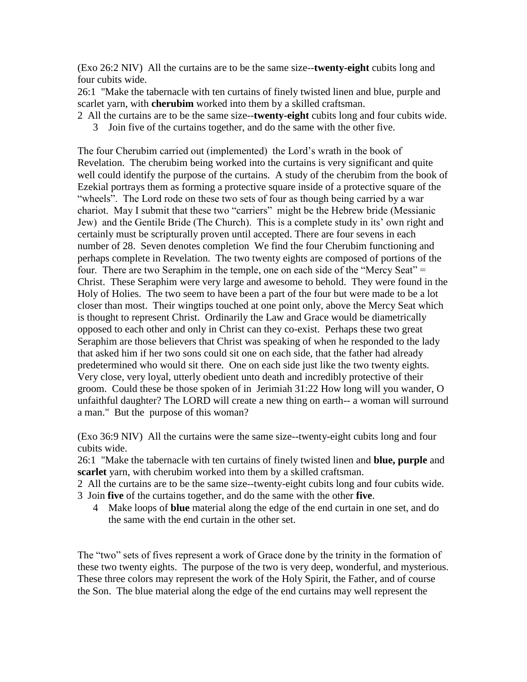(Exo 26:2 NIV) All the curtains are to be the same size--**twenty-eight** cubits long and four cubits wide.

26:1 "Make the tabernacle with ten curtains of finely twisted linen and blue, purple and scarlet yarn, with **cherubim** worked into them by a skilled craftsman.

- 2 All the curtains are to be the same size--**twenty-eight** cubits long and four cubits wide.
	- 3 Join five of the curtains together, and do the same with the other five.

The four Cherubim carried out (implemented) the Lord's wrath in the book of Revelation. The cherubim being worked into the curtains is very significant and quite well could identify the purpose of the curtains. A study of the cherubim from the book of Ezekial portrays them as forming a protective square inside of a protective square of the "wheels". The Lord rode on these two sets of four as though being carried by a war chariot. May I submit that these two "carriers" might be the Hebrew bride (Messianic Jew) and the Gentile Bride (The Church). This is a complete study in its' own right and certainly must be scripturally proven until accepted. There are four sevens in each number of 28. Seven denotes completion We find the four Cherubim functioning and perhaps complete in Revelation. The two twenty eights are composed of portions of the four. There are two Seraphim in the temple, one on each side of the "Mercy Seat" = Christ. These Seraphim were very large and awesome to behold. They were found in the Holy of Holies. The two seem to have been a part of the four but were made to be a lot closer than most. Their wingtips touched at one point only, above the Mercy Seat which is thought to represent Christ. Ordinarily the Law and Grace would be diametrically opposed to each other and only in Christ can they co-exist. Perhaps these two great Seraphim are those believers that Christ was speaking of when he responded to the lady that asked him if her two sons could sit one on each side, that the father had already predetermined who would sit there. One on each side just like the two twenty eights. Very close, very loyal, utterly obedient unto death and incredibly protective of their groom. Could these be those spoken of in Jerimiah 31:22 How long will you wander, O unfaithful daughter? The LORD will create a new thing on earth-- a woman will surround a man." But the purpose of this woman?

(Exo 36:9 NIV) All the curtains were the same size--twenty-eight cubits long and four cubits wide.

26:1 "Make the tabernacle with ten curtains of finely twisted linen and **blue, purple** and **scarlet** yarn, with cherubim worked into them by a skilled craftsman.

- 2 All the curtains are to be the same size--twenty-eight cubits long and four cubits wide.
- 3 Join **five** of the curtains together, and do the same with the other **five**.
	- 4 Make loops of **blue** material along the edge of the end curtain in one set, and do the same with the end curtain in the other set.

The "two" sets of fives represent a work of Grace done by the trinity in the formation of these two twenty eights. The purpose of the two is very deep, wonderful, and mysterious. These three colors may represent the work of the Holy Spirit, the Father, and of course the Son. The blue material along the edge of the end curtains may well represent the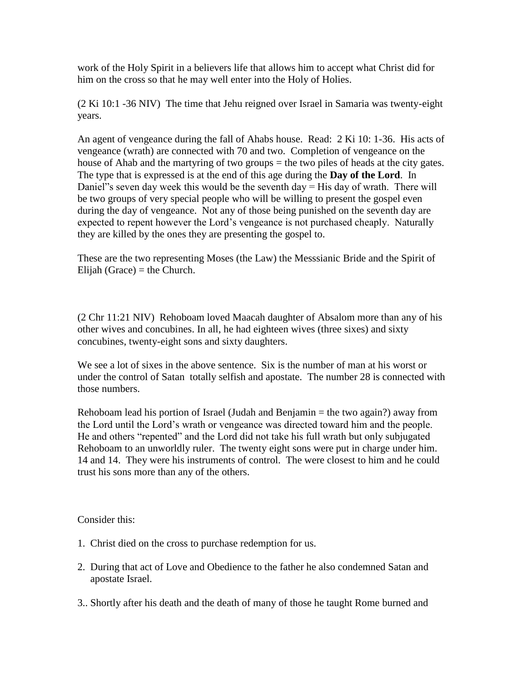work of the Holy Spirit in a believers life that allows him to accept what Christ did for him on the cross so that he may well enter into the Holy of Holies.

(2 Ki 10:1 -36 NIV) The time that Jehu reigned over Israel in Samaria was twenty-eight years.

An agent of vengeance during the fall of Ahabs house. Read: 2 Ki 10: 1-36. His acts of vengeance (wrath) are connected with 70 and two. Completion of vengeance on the house of Ahab and the martyring of two groups = the two piles of heads at the city gates. The type that is expressed is at the end of this age during the **Day of the Lord**. In Daniel"'s seven day week this would be the seventh day  $=$  His day of wrath. There will be two groups of very special people who will be willing to present the gospel even during the day of vengeance. Not any of those being punished on the seventh day are expected to repent however the Lord's vengeance is not purchased cheaply. Naturally they are killed by the ones they are presenting the gospel to.

These are the two representing Moses (the Law) the Messsianic Bride and the Spirit of Elijah (Grace) = the Church.

(2 Chr 11:21 NIV) Rehoboam loved Maacah daughter of Absalom more than any of his other wives and concubines. In all, he had eighteen wives (three sixes) and sixty concubines, twenty-eight sons and sixty daughters.

We see a lot of sixes in the above sentence. Six is the number of man at his worst or under the control of Satan totally selfish and apostate. The number 28 is connected with those numbers.

Rehoboam lead his portion of Israel (Judah and Benjamin = the two again?) away from the Lord until the Lord's wrath or vengeance was directed toward him and the people. He and others "repented" and the Lord did not take his full wrath but only subjugated Rehoboam to an unworldly ruler. The twenty eight sons were put in charge under him. 14 and 14. They were his instruments of control. The were closest to him and he could trust his sons more than any of the others.

Consider this:

- 1. Christ died on the cross to purchase redemption for us.
- 2. During that act of Love and Obedience to the father he also condemned Satan and apostate Israel.
- 3.. Shortly after his death and the death of many of those he taught Rome burned and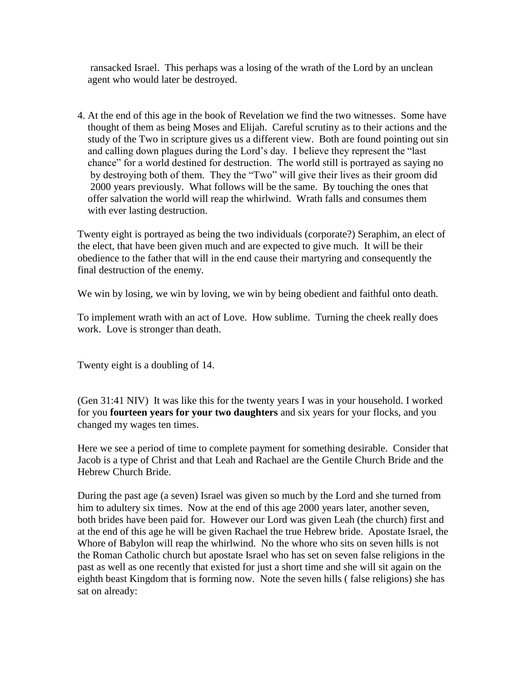ransacked Israel. This perhaps was a losing of the wrath of the Lord by an unclean agent who would later be destroyed.

4. At the end of this age in the book of Revelation we find the two witnesses. Some have thought of them as being Moses and Elijah. Careful scrutiny as to their actions and the study of the Two in scripture gives us a different view. Both are found pointing out sin and calling down plagues during the Lord's day. I believe they represent the "last chance" for a world destined for destruction. The world still is portrayed as saying no by destroying both of them. They the "Two" will give their lives as their groom did 2000 years previously. What follows will be the same. By touching the ones that offer salvation the world will reap the whirlwind. Wrath falls and consumes them with ever lasting destruction.

Twenty eight is portrayed as being the two individuals (corporate?) Seraphim, an elect of the elect, that have been given much and are expected to give much. It will be their obedience to the father that will in the end cause their martyring and consequently the final destruction of the enemy.

We win by losing, we win by loving, we win by being obedient and faithful onto death.

To implement wrath with an act of Love. How sublime. Turning the cheek really does work. Love is stronger than death.

Twenty eight is a doubling of 14.

(Gen 31:41 NIV) It was like this for the twenty years I was in your household. I worked for you **fourteen years for your two daughters** and six years for your flocks, and you changed my wages ten times.

Here we see a period of time to complete payment for something desirable. Consider that Jacob is a type of Christ and that Leah and Rachael are the Gentile Church Bride and the Hebrew Church Bride.

During the past age (a seven) Israel was given so much by the Lord and she turned from him to adultery six times. Now at the end of this age 2000 years later, another seven, both brides have been paid for. However our Lord was given Leah (the church) first and at the end of this age he will be given Rachael the true Hebrew bride. Apostate Israel, the Whore of Babylon will reap the whirlwind. No the whore who sits on seven hills is not the Roman Catholic church but apostate Israel who has set on seven false religions in the past as well as one recently that existed for just a short time and she will sit again on the eighth beast Kingdom that is forming now. Note the seven hills ( false religions) she has sat on already: